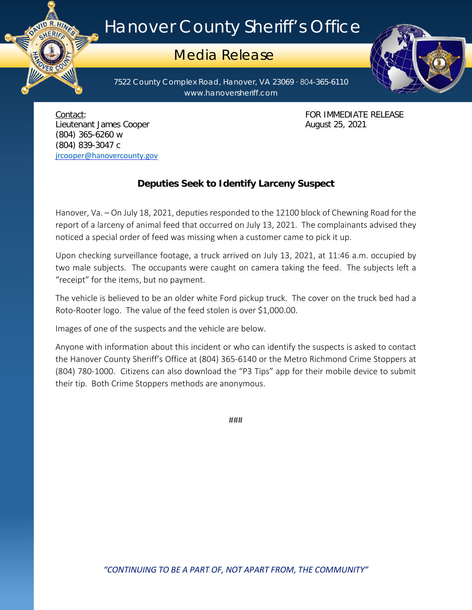## Hanover County Sheriff's Office

## Media Release

7522 County Complex Road, Hanover, VA 23069 ∙ 804-365-6110 www.hanoversheriff.com



Contact: FOR IMMEDIATE RELEASE Lieutenant James Cooper **August 25, 2021** (804) 365-6260 w (804) 839-3047 c [jrcooper@hanovercounty.gov](mailto:jrcooper@hanovercounty.gov)

ER CO

## **Deputies Seek to Identify Larceny Suspect**

Hanover, Va. – On July 18, 2021, deputies responded to the 12100 block of Chewning Road for the report of a larceny of animal feed that occurred on July 13, 2021. The complainants advised they noticed a special order of feed was missing when a customer came to pick it up.

Upon checking surveillance footage, a truck arrived on July 13, 2021, at 11:46 a.m. occupied by two male subjects. The occupants were caught on camera taking the feed. The subjects left a "receipt" for the items, but no payment.

The vehicle is believed to be an older white Ford pickup truck. The cover on the truck bed had a Roto-Rooter logo. The value of the feed stolen is over \$1,000.00.

Images of one of the suspects and the vehicle are below.

Anyone with information about this incident or who can identify the suspects is asked to contact the Hanover County Sheriff's Office at (804) 365-6140 or the Metro Richmond Crime Stoppers at (804) 780-1000. Citizens can also download the "P3 Tips" app for their mobile device to submit their tip. Both Crime Stoppers methods are anonymous.

###